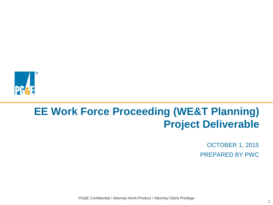

# **EE Work Force Proceeding (WE&T Planning) Project Deliverable**

OCTOBER 1, 2015 PREPARED BY PWC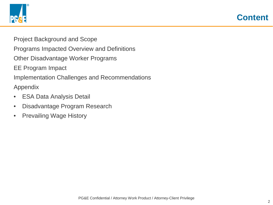



Project Background and Scope

Programs Impacted Overview and Definitions

Other Disadvantage Worker Programs

EE Program Impact

Implementation Challenges and Recommendations

Appendix

- ESA Data Analysis Detail
- Disadvantage Program Research
- Prevailing Wage History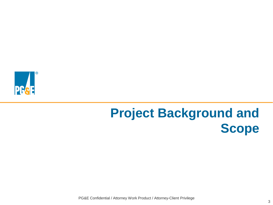

# **Project Background and Scope**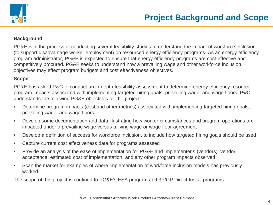

### **Background**

PG&E is in the process of conducting several feasibility studies to understand the impact of workforce inclusion (to support disadvantage worker employment) on resourced energy efficiency programs. As an energy efficiency program administrator, PG&E is expected to ensure that energy efficiency programs are cost-effective and competitively procured. PG&E seeks to understand how a prevailing wage and other workforce inclusion objectives may effect program budgets and cost effectiveness objectives.

### **Scope**

PG&E has asked PwC to conduct an in-depth feasibility assessment to determine energy efficiency resource program impacts associated with implementing targeted hiring goals, prevailing wage, and wage floors. PwC understands the following PG&E objectives for the project:

- Determine program impacts (cost and other metrics) associated with implementing targeted hiring goals, prevailing wage, and wage floors.
- Develop some documentation and data illustrating how worker circumstances and program operations are impacted under a prevailing wage versus a living wage or wage floor agreement
- Develop a definition of success for workforce inclusion, to include how targeted hiring goals should be used
- Capture current cost effectiveness data for programs assessed
- Provide an analysis of the ease of implementation for PG&E and Implementer's (vendors), vendor acceptance, estimated cost of implementation, and any other program impacts observed
- Scan the market for examples of where implementation of workforce inclusion models has previously worked

The scope of this project is confined to PG&E's ESA program and 3P/GP Direct Install programs.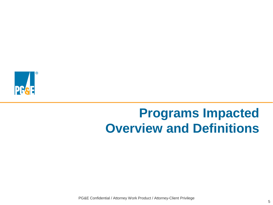

# **Programs Impacted Overview and Definitions**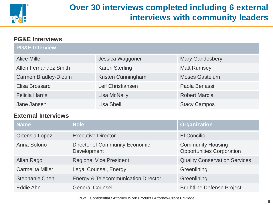

## **Over 30 interviews completed including 6 external interviews with community leaders**

## **PG&E Interviews**

| <b>PG&amp;E Interview</b>    |                       |                        |
|------------------------------|-----------------------|------------------------|
| <b>Alice Miller</b>          | Jessica Waggoner      | <b>Mary Gandesbery</b> |
| <b>Allen Fernandez Smith</b> | <b>Karen Sterling</b> | <b>Matt Rumsey</b>     |
| <b>Carmen Bradley-Dioum</b>  | Kristen Cunningham    | <b>Moses Gastelum</b>  |
| Elisa Brossard               | Leif Christiansen     | Paola Benassi          |
| <b>Felicia Harris</b>        | <b>Lisa McNally</b>   | <b>Robert Marcial</b>  |
| Jane Jansen                  | <b>Lisa Shell</b>     | <b>Stacy Campos</b>    |

## **External Interviews**

| <b>Name</b>             | <b>Role</b>                                          | <b>Organization</b>                                          |
|-------------------------|------------------------------------------------------|--------------------------------------------------------------|
| Ortensia Lopez          | <b>Executive Director</b>                            | <b>El Concilio</b>                                           |
| Anna Solorio            | <b>Director of Community Economic</b><br>Development | <b>Community Housing</b><br><b>Opportunities Corporation</b> |
| Allan Rago              | <b>Regional Vice President</b>                       | <b>Quality Conservation Services</b>                         |
| <b>Carmelita Miller</b> | <b>Legal Counsel, Energy</b>                         | Greenlining                                                  |
| <b>Stephanie Chen</b>   | <b>Energy &amp; Telecommunication Director</b>       | Greenlining                                                  |
| Eddie Ahn               | <b>General Counsel</b>                               | <b>Brightline Defense Project</b>                            |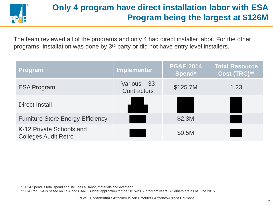

## **Only 4 program have direct installation labor with ESA Program being the largest at \$126M**

The team reviewed all of the programs and only 4 had direct installer labor. For the other programs, installation was done by 3<sup>rd</sup> party or did not have entry level installers.

| <b>Program</b>                                          | <b>Implementer</b>          | <b>PG&amp;E 2014</b><br>Spend* | <b>Total Resource</b><br>Cost (TRC)** |
|---------------------------------------------------------|-----------------------------|--------------------------------|---------------------------------------|
| <b>ESA Program</b>                                      | Various - 33<br>Contractors | \$125.7M                       | 1.23                                  |
| Direct Install                                          |                             |                                |                                       |
| <b>Furniture Store Energy Efficiency</b>                |                             | \$2.3M                         |                                       |
| K-12 Private Schools and<br><b>Colleges Audit Retro</b> |                             | \$0.5M                         |                                       |

\* 2014 Spend is total spend and includes all labor, materials and overhead

\*\* TRC for ESA is based on ESA and CARE Budget application for the 2015-2017 program years. All others are as of June 2015.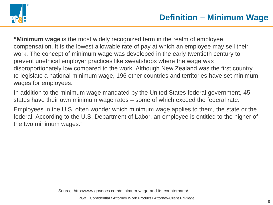

**"Minimum wage** is the most widely recognized term in the realm of employee compensation. It is the lowest allowable rate of pay at which an employee may sell their work. The concept of minimum wage was developed in the early twentieth century to prevent unethical employer practices like sweatshops where the wage was disproportionately low compared to the work. Although New Zealand was the first country to legislate a national minimum wage, 196 other countries and territories have set minimum wages for employees.

In addition to the minimum wage mandated by the United States federal government, 45 states have their own minimum wage rates – some of which exceed the federal rate.

Employees in the U.S. often wonder which minimum wage applies to them, the state or the federal. According to the U.S. Department of Labor, an employee is entitled to the higher of the two minimum wages."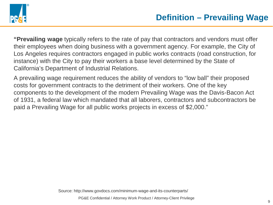

**"Prevailing wage** typically refers to the rate of pay that contractors and vendors must offer their employees when doing business with a government agency. For example, the City of Los Angeles requires contractors engaged in public works contracts (road construction, for instance) with the City to pay their workers a base level determined by the State of California's Department of Industrial Relations.

A prevailing wage requirement reduces the ability of vendors to "low ball" their proposed costs for government contracts to the detriment of their workers. One of the key components to the development of the modern Prevailing Wage was the Davis-Bacon Act of 1931, a federal law which mandated that all laborers, contractors and subcontractors be paid a Prevailing Wage for all public works projects in excess of \$2,000."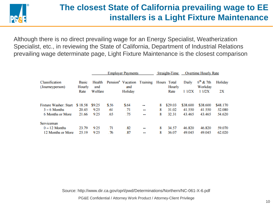

## **The closest State of California prevailing wage to EE installers is a Light Fixture Maintenance**

Although there is no direct prevailing wage for an Energy Specialist, Weatherization Specialist, etc., in reviewing the State of California, Department of Industrial Relations prevailing wage determinate page, Light Fixture Maintenance is the closest comparison

|                                   |                        | <b>Employer Payments</b> |       |                                               |                          | <b>Straight-Time</b> |                       | <b>Overtime Hourly Rate</b> |                        |          |  |
|-----------------------------------|------------------------|--------------------------|-------|-----------------------------------------------|--------------------------|----------------------|-----------------------|-----------------------------|------------------------|----------|--|
| Classification<br>(Journeyperson) | <b>Basic</b><br>Hourly | Health<br>and            |       | Pension <sup>a</sup> Vacation Training<br>and |                          |                      | Hours Total<br>Hourly | Daily                       | $6th$ & 7th<br>Workdav | Holiday  |  |
|                                   | Rate                   | Welfare                  |       | Holiday                                       |                          |                      | Rate                  | 11/2X                       | 11/2X                  | 2X       |  |
| <b>Fixture Washer: Start</b>      | \$18.58                | \$9.25                   | \$.56 | \$.64                                         |                          | 8                    | \$29.03               | \$38,600                    | \$38,600               | \$48,170 |  |
| $3 - 6$ Months                    | 20.45                  | 9.25                     | .61   | .71                                           |                          | 8                    | 31.02                 | 41.550                      | 41.550                 | 52.080   |  |
| 6 Months or More                  | 21.66                  | 9.25                     | .65   | .75                                           |                          | 8                    | 32.31                 | 43.465                      | 43.465                 | 54.620   |  |
| Serviceman                        |                        |                          |       |                                               |                          |                      |                       |                             |                        |          |  |
| $0 - 12$ Months                   | 23.79                  | 9.25                     | .71   | .82                                           | $\overline{\phantom{a}}$ | 8                    | 34.57                 | 46.820                      | 46.820                 | 59.070   |  |
| 12 Months or More                 | 25.19                  | 9.25                     | .76   | 87                                            |                          | 8                    | 36.07                 | 49.045                      | 49.045                 | 62.020   |  |

Source: http://www.dir.ca.gov/oprl/pwd/Determinations/Northern/NC-061-X-6.pdf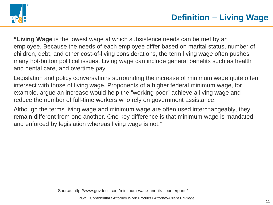

**"Living Wage** is the lowest wage at which subsistence needs can be met by an employee. Because the needs of each employee differ based on marital status, number of children, debt, and other cost-of-living considerations, the term living wage often pushes many hot-button political issues. Living wage can include general benefits such as health and dental care, and overtime pay.

Legislation and policy conversations surrounding the increase of minimum wage quite often intersect with those of living wage. Proponents of a higher federal minimum wage, for example, argue an increase would help the "working poor" achieve a living wage and reduce the number of full-time workers who rely on government assistance.

Although the terms living wage and minimum wage are often used interchangeably, they remain different from one another. One key difference is that minimum wage is mandated and enforced by legislation whereas living wage is not."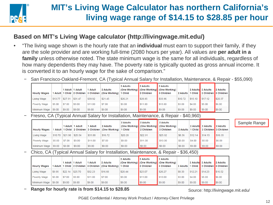

## **MIT's Living Wage Calculator has northern California's living wage range of \$14.15 to \$28.85 per hour**

## **Based on MIT's Living Wage calculator (http://livingwage.mit.edu/)**

- "The living wage shown is the hourly rate that an **individual** must earn to support their family, if they are the sole provider and are working full-time (2080 hours per year). All values are **per adult in a family** unless otherwise noted. The state minimum wage is the same for all individuals, regardless of how many dependents they may have. The poverty rate is typically quoted as gross annual income. It is converted it to an hourly wage for the sake of comparison."
	- − San Francisco-Oakland-Fremont, CA (Typical Annual Salary for Installation, Maintenance, & Repair \$55,090)

| <b>Hourly Wages</b> |         |                     | 1 Adult 1 Adult | 1 Adult | 2 Adults<br>1 Adult   1 Child   2 Children   3 Children   (One Working) | 2 Adults<br>l Child | 2 Adults<br>2 Children | 2 Adults<br>(One Working) (One Working) (One Working)<br>3 Children | 2 Adults | <b>Child</b>                | 2 Adults 2 Adults<br>2 Children 3 Children | 2 Adults |
|---------------------|---------|---------------------|-----------------|---------|-------------------------------------------------------------------------|---------------------|------------------------|---------------------------------------------------------------------|----------|-----------------------------|--------------------------------------------|----------|
| <b>Living Wage</b>  | \$13.77 | $ $27.91$ $ $31.47$ |                 | \$39.92 | \$21.45                                                                 | \$26.21             | \$28.85                | \$33.96                                                             | \$10.72  | $\frac{1}{1515.10}$ \$17.12 |                                            | \$20.37  |
| Poverty Wage        | \$5.00  | \$7.00              | \$9.00          | \$11.00 | \$7.00                                                                  | \$9.00              | \$11.00                | \$13.00                                                             | \$3.00   | \$4.00                      | $\parallel$ \$5.00                         | \$6.00   |
| l Minimum Wage      | \$9.00  | \$9.00              | \$9.00          | \$9.00  | \$9.00                                                                  | \$9.00              | S9.00                  | $ $ \$9.00                                                          | \$9.00   | \$9.00                      | $ $ \$9.00                                 | \$9.00   |

− Fresno, CA (Typical Annual Salary for Installation, Maintenance, & Repair - \$40,960)

| <b>Hourly Wages</b> |                            |        | Adult 1 Adult | 1 Adult | 2 Adults<br>1 Adult   1 Child   2 Children   3 Children   (One Working)   1 Child | 2 Adults | 2 Adults<br>(One Working) (One Working)<br>2 Children | 2 Adults<br>(One Working)<br>3 Children | 2 Adults |                     | 2 Adults 2 Adults<br>1 Child 2 Children 3 Children | 2 Adults |
|---------------------|----------------------------|--------|---------------|---------|-----------------------------------------------------------------------------------|----------|-------------------------------------------------------|-----------------------------------------|----------|---------------------|----------------------------------------------------|----------|
| Living Wage         | $$10.70$ $$21.98$ $$25.54$ |        |               | \$31.88 | \$16.72                                                                           | \$20.28  | \$22.91                                               | \$25.92                                 | \$8.36   | $$12.14$ \ $$14.15$ |                                                    | \$16.35  |
| Poverty Wage        | \$5.00                     | \$7.00 | \$9.00        | \$11.00 | \$7.00                                                                            | \$9.00   | \$11.00                                               | \$13.00                                 | \$3.00   | \$4.00              | $ $ \$5.00                                         | \$6.00   |
| Minimum Wage        | \$9.00                     | \$9.00 | \$9.00        | \$9.00  | \$9.00                                                                            | \$9.00   | \$9.00                                                | \$9.00                                  | \$9.00   | \$9.00              | $ $ \$9.00                                         | \$9.00   |

− Chico, CA (Typical Annual Salary for Installation, Maintenance, & Repair - \$36,450)

| <b>Hourly Wages</b> |        |                   | 1 Adult   1 Adult | 1 Adult<br>Adult   1 Child   2 Children   3 Children | <b>2 Adults</b><br>(One Working) | 2 Adults<br>Child | 2 Adults<br>2 Children | 2 Adults<br>(One Working) (One Working) (One Working)<br>3 Children | 2 Adults |         | 2 Adults 2 Adults<br>∣ Child ∎ 2 Children ∎3 Children I | 2 Adults |
|---------------------|--------|-------------------|-------------------|------------------------------------------------------|----------------------------------|-------------------|------------------------|---------------------------------------------------------------------|----------|---------|---------------------------------------------------------|----------|
| Living Wage         | \$9.95 | $$22.14$ \\$25.70 |                   | \$32.23                                              | \$16.66                          | \$20.44           | \$23.07                | \$26.27                                                             | \$8.33   | \$12.21 | \$14.23                                                 | \$16.52  |
| Poverty Wage        | \$5.00 | \$7.00            | \$9.00            | \$11.00                                              | \$7.00                           | \$9.00            | \$11.00                | \$13.00                                                             | \$3.00   | \$4.00  | \$5.00                                                  | \$6.00   |
| Minimum Wage        | \$9.00 | \$9.00            | \$9.00            | \$9.00                                               | \$9.00                           | \$9.00            | \$9.00                 | \$9.00                                                              | \$9.00   | \$9.00  | $ $ \$9.00                                              | \$9.00   |

− **Range for hourly rate is from \$14.15 to \$28.85**

Source: http://livingwage.mit.edu/

## <sup>12</sup> PG&E Confidential / Attorney Work Product / Attorney-Client Privilege

Sample Range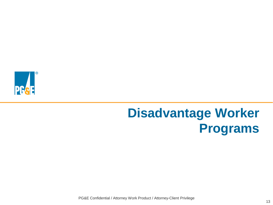

# **Disadvantage Worker Programs**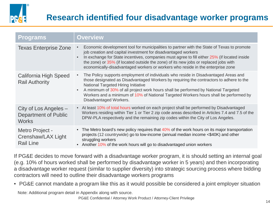

## **Research identified four disadvantage worker programs**

| <b>Programs</b>                                               | <b>Overview</b>                                                                                                                                                                                                                                                                                                                                                                                                                                          |
|---------------------------------------------------------------|----------------------------------------------------------------------------------------------------------------------------------------------------------------------------------------------------------------------------------------------------------------------------------------------------------------------------------------------------------------------------------------------------------------------------------------------------------|
| <b>Texas Enterprise Zone</b>                                  | Economic development tool for municipalities to partner with the State of Texas to promote<br>job creation and capital investment for disadvantaged workers<br>In exchange for State incentives, companies must agree to fill either 25% (if located inside<br>$\bullet$<br>the zone) or 35% (if located outside the zone) of its new jobs or replaced jobs with<br>economically-disadvantaged workers or workers who reside in the enterprise zone      |
| <b>California High Speed</b><br><b>Rail Authority</b>         | The Policy supports employment of individuals who reside in Disadvantaged Areas and<br>$\bullet$<br>those designated as Disadvantaged Workers by requiring the contractors to adhere to the<br>National Targeted Hiring Initiative<br>A minimum of 30% of all project work hours shall be performed by National Targeted<br>$\bullet$<br>Workers and a minimum of 10% of National Targeted Workers hours shall be performed by<br>Disadvantaged Workers. |
| City of Los Angeles -<br>Department of Public<br><b>Works</b> | • At least 10% of total hours worked on each project shall be performed by Disadvantaged<br>Workers residing within Tier 1 or Tier 2 zip code areas described in Articles 7.4 and 7.5 of the<br>DPW-PLA respectively and the remaining zip codes within the City of Los Angeles.                                                                                                                                                                         |
| Metro Project -<br>Crenshaw/LAX Light<br><b>Rail Line</b>     | • The Metro board's new policy requires that 40% of the work hours on its major transportation<br>projects (12 countrywide) go to low-income (annual median income <\$40K) and other<br>struggling workers<br>• Another 10% of the work hours will go to disadvantaged union workers                                                                                                                                                                     |

If PG&E decides to move forward with a disadvantage worker program, it is should setting an internal goal (e.g. 10% of hours worked shall be performed by disadvantage worker in 5 years) and then incorporating a disadvantage worker request (similar to supplier diversity) into strategic sourcing process where bidding contractors will need to outline their disadvantage workers programs

• PG&E cannot mandate a program like this as it would possible be considered a joint employer situation

Note: Additional program detail in Appendix along with source.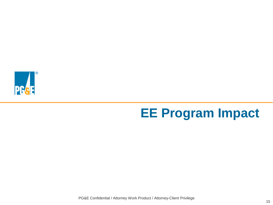

# **EE Program Impact**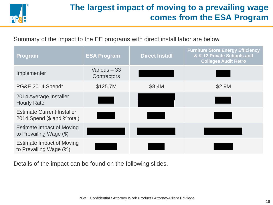

## **The largest impact of moving to a prevailing wage comes from the ESA Program**

Summary of the impact to the EE programs with direct install labor are below

| Program                                                         | <b>ESA Program</b>          | <b>Direct Install</b> | <b>Furniture Store Energy Efficiency</b><br>& K-12 Private Schools and<br><b>Colleges Audit Retro</b> |
|-----------------------------------------------------------------|-----------------------------|-----------------------|-------------------------------------------------------------------------------------------------------|
| Implementer                                                     | Various - 33<br>Contractors |                       |                                                                                                       |
| <b>PG&amp;E 2014 Spend*</b>                                     | \$125.7M                    | \$8.4M                | \$2.9M                                                                                                |
| 2014 Average Installer<br><b>Hourly Rate</b>                    |                             |                       |                                                                                                       |
| <b>Estimate Current Installer</b><br>2014 Spend (\$ and %total) |                             |                       |                                                                                                       |
| <b>Estimate Impact of Moving</b><br>to Prevailing Wage (\$)     |                             |                       |                                                                                                       |
| <b>Estimate Impact of Moving</b><br>to Prevailing Wage (%)      |                             |                       |                                                                                                       |

Details of the impact can be found on the following slides.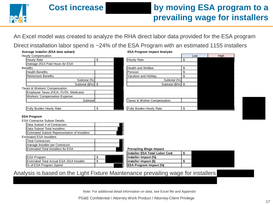

An Excel model was created to analyze the RHA direct labor data provided for the ESA program

Direct installation labor spend is ~24% of the ESA Program with an estimated 1155 installers

| Average Installer (ESA data subset)   | <b>ESA Program Impact Analysis</b>    |     |      |  |  |  |
|---------------------------------------|---------------------------------------|-----|------|--|--|--|
| Hourly Compensation                   |                                       | Low | High |  |  |  |
| Hourly Rate                           | \$<br>Hourly Rate                     |     |      |  |  |  |
| Average 2014 Paid Hours for ESA       |                                       |     |      |  |  |  |
| <b>Benefits</b>                       | <b>Health and Welfare</b>             | \$  |      |  |  |  |
| <b>Health Benefits</b>                | <b>I</b> Pension                      |     |      |  |  |  |
| <b>Retirement Benefits</b>            | Vacation and Holidav                  |     |      |  |  |  |
| Subtotal (%)                          | Subtotal (%)                          |     |      |  |  |  |
| Subtotal (\$/hr) \$                   | Subtotal (\$/hr) \$                   |     |      |  |  |  |
| Taxes & Workers' Compensation         |                                       |     |      |  |  |  |
| Employee Taxes (FICA, FUTA, Medicare) |                                       |     |      |  |  |  |
| <b>Workers' Compensation Expense</b>  |                                       |     |      |  |  |  |
| Subtotal                              | Taxes & Worker Compensation           |     |      |  |  |  |
|                                       |                                       |     |      |  |  |  |
| Fully Burden Hourly Rate              | \$<br><b>Fully Burden Hourly Rate</b> | \$  |      |  |  |  |
|                                       |                                       |     |      |  |  |  |

### **ESA Program**

| <b>ESA Contractor Subset Details</b>                 |   |                                |    |
|------------------------------------------------------|---|--------------------------------|----|
| Data Subset # of Contractors                         |   |                                |    |
| Data Subset Total Installers                         |   |                                |    |
| <b>Estimated Subset Representation of Installers</b> |   |                                |    |
| <b>Estimated ESA Installers</b>                      |   |                                |    |
| <b>Total Contractors</b>                             |   |                                |    |
| Average Installer per Contractor                     |   |                                |    |
| <b>Estimated Total Installers for ESA</b>            |   | <b>Prevailing Wage Impact</b>  |    |
|                                                      |   | Installer ESA Total Labor Cost | \$ |
| <b>ESA Program</b>                                   |   | Installer Impact (%)           |    |
| Estimated Total Actual ESA 2014 Installer            | σ | Installer Impact (\$)          | \$ |
|                                                      |   |                                |    |

## **I**s % of ESA Program Spend **ESA Program Impact (%)**

Analysis is based on the Light Fixture Maintenance prevailing wage for installers

Note: For additional detail information on data, see Excel file and Appendix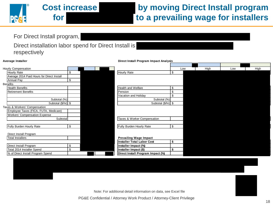

## **Cost increase by moving Direct Install program for to a prevailing wage for installers**

For Direct Install program,

Direct installation labor spend for Direct Install is respectively

| Hourly Compensation                        |    |                                   |              | Low | High | Low | High |
|--------------------------------------------|----|-----------------------------------|--------------|-----|------|-----|------|
| Hourly Rate                                | \$ | Hourly Rate                       | \$           |     |      |     |      |
| Average 2014 Paid Hours for Direct Install |    |                                   |              |     |      |     |      |
| Annual Pay                                 | \$ |                                   |              |     |      |     |      |
| <b>Benefits</b>                            |    |                                   |              |     |      |     |      |
| <b>Health Benefits</b>                     |    | <b>Health and Welfare</b>         | \$           |     |      |     |      |
| <b>Retirement Benefits</b>                 |    | Pension                           | \$           |     |      |     |      |
|                                            |    | Vacation and Holiday              | $\mathbf{S}$ |     |      |     |      |
| Subtotal (%)                               |    | Subtotal (%)                      |              |     |      |     |      |
| Subtotal (\$/hr) \$                        |    | Subtotal (\$/hr) \$               |              |     |      |     |      |
| Taxes & Workers' Compensation              |    |                                   |              |     |      |     |      |
| Employee Taxes (FICA, FUTA, Medicare)      |    |                                   |              |     |      |     |      |
| <b>Workers' Compensation Expense</b>       |    |                                   |              |     |      |     |      |
| Subtotal                                   |    | Taxes & Worker Compensation       |              |     |      |     |      |
|                                            |    |                                   |              |     |      |     |      |
| <b>Fully Burden Hourly Rate</b>            | \$ | <b>Fully Burden Hourly Rate</b>   | \$           |     |      |     |      |
|                                            |    |                                   |              |     |      |     |      |
| Direct Install Program                     |    |                                   |              |     |      |     |      |
| <b>Total Installers</b>                    |    | <b>Prevailing Wage Impact</b>     |              |     |      |     |      |
|                                            |    | Installer Total Labor Cost        | \$           |     |      |     |      |
| Direct Install Program                     | \$ | Installer Impact (%)              |              |     |      |     |      |
| Total 2014 Installer Spend                 | \$ | Installer Impact (\$)             | \$           |     |      |     |      |
| % of Direct Install Program Spend          |    | Direct Install Program Impact (%) |              |     |      |     |      |
|                                            |    |                                   |              |     |      |     |      |

**Average Installer Direct Install Program Impact Analysis**

Note: For additional detail information on data, see Excel file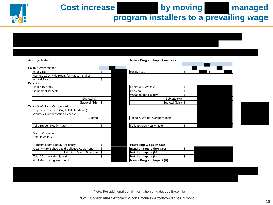

Cost increase by moving managed

**program installers to a prevailing wage**

| Average Installer                             |                         |  | <b>Matrix Program Impact Analysis</b> |    |  |    |  |
|-----------------------------------------------|-------------------------|--|---------------------------------------|----|--|----|--|
|                                               |                         |  |                                       |    |  |    |  |
| <b>Hourly Compensation</b>                    |                         |  |                                       |    |  |    |  |
| Hourly Rate                                   | \$                      |  | Hourly Rate                           | \$ |  | \$ |  |
| Average 2014 Paid Hours for Matrix Installer  |                         |  |                                       |    |  |    |  |
| Annual Pay                                    | \$                      |  |                                       |    |  |    |  |
| <b>Benefits</b>                               |                         |  |                                       |    |  |    |  |
| <b>Health Benefits</b>                        |                         |  | <b>Health and Welfare</b>             | \$ |  |    |  |
| <b>Retirement Benefits</b>                    |                         |  | Pension                               | \$ |  |    |  |
|                                               |                         |  | Vacation and Holiday                  | \$ |  |    |  |
| Subtotal (%)                                  |                         |  | Subtotal (%)                          |    |  |    |  |
| Subtotal $(\frac{5}{hr})$ \$                  |                         |  | Subtotal $(\frac{5}{hr})$ \$          |    |  |    |  |
| Taxes & Workers' Compensation                 |                         |  |                                       |    |  |    |  |
| Employee Taxes (FICA, FUTA, Medicare)         |                         |  |                                       |    |  |    |  |
| <b>Workers' Compensation Expense</b>          |                         |  |                                       |    |  |    |  |
| Subtotal                                      |                         |  | Taxes & Worker Compensation           |    |  |    |  |
|                                               |                         |  |                                       |    |  |    |  |
| Fully Burden Hourly Rate                      | \$                      |  | Fully Burden Hourly Rate              | \$ |  |    |  |
|                                               |                         |  |                                       |    |  |    |  |
| Matrix Programs                               |                         |  |                                       |    |  |    |  |
| <b>Total Installers</b>                       |                         |  |                                       |    |  |    |  |
|                                               |                         |  |                                       |    |  |    |  |
| Furniture Store Energy Efficiency             | \$                      |  | <b>Prevailing Wage Impact</b>         |    |  |    |  |
| K-12 Private Schools and Colleges Audit Retro | $\sqrt[6]{\frac{1}{2}}$ |  | Installer Total Labor Cost            | \$ |  |    |  |
| Subtotal - Matrix Programs   \$               |                         |  | Installer Impact (%)                  |    |  |    |  |
| Total 2014 Installer Spend                    | \$                      |  | Installer Impact (\$)                 | \$ |  |    |  |
| % of Matrix Program Spend                     |                         |  | Matrix Program Impact (%)             |    |  |    |  |

Note: For additional detail information on data, see Excel file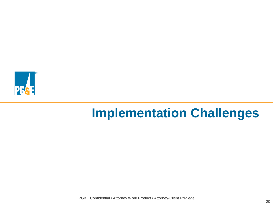

# **Implementation Challenges**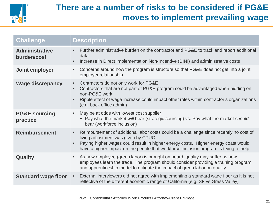

## **There are a number of risks to be considered if PG&E moves to implement prevailing wage**

| <b>Challenge</b>                     | <b>Description</b>                                                                                                                                                                                                                                                                                                                     |
|--------------------------------------|----------------------------------------------------------------------------------------------------------------------------------------------------------------------------------------------------------------------------------------------------------------------------------------------------------------------------------------|
| <b>Administrative</b><br>burden/cost | Further administrative burden on the contractor and PG&E to track and report additional<br>$\bullet$<br>data<br>Increase in Direct Implementation Non-Incentive (DINI) and administrative costs<br>$\bullet$                                                                                                                           |
| Joint employer                       | Concerns around how the program is structure so that PG&E does not get into a joint<br>$\bullet$<br>employer relationship                                                                                                                                                                                                              |
| <b>Wage discrepancy</b>              | Contractors do not only work for PG&E<br>$\bullet$<br>Contractors that are not part of PG&E program could be advantaged when bidding on<br>$\bullet$<br>non-PG&E work<br>Ripple effect of wage increase could impact other roles within contractor's organizations<br>$\bullet$<br>(e.g. back office admin)                            |
| <b>PG&amp;E sourcing</b><br>practice | May be at odds with lowest cost supplier<br>$\bullet$<br>- Pay what the market will bear (strategic sourcing) vs. Pay what the market should<br>bear (workforce inclusion)                                                                                                                                                             |
| <b>Reimbursement</b>                 | Reimbursement of additional labor costs could be a challenge since recently no cost of<br>$\bullet$<br>living adjustment was given by CPUC<br>Paying higher wages could result in higher energy costs. Higher energy coast would<br>$\bullet$<br>have a higher impact on the people that workforce inclusion program is trying to help |
| <b>Quality</b>                       | As new employee (green labor) is brought on board, quality may suffer as new<br>$\bullet$<br>employees learn the trade. The program should consider providing a training program<br>and apprenticeship model to mitigate the impact of green labor on quality                                                                          |
| <b>Standard wage floor</b>           | External interviewers did not agree with implementing a standard wage floor as it is not<br>$\bullet$<br>reflective of the different economic range of California (e.g. SF vs Grass Valley)                                                                                                                                            |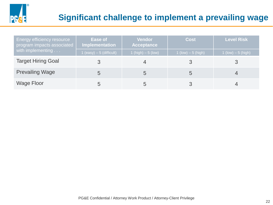

## **Significant challenge to implement a prevailing wage**

| <b>Energy efficiency resource</b><br>program impacts associated | Ease of<br>Implementation | Vendor<br><b>Acceptance</b> | <b>Cost</b>           | <b>Level Risk</b>     |  |
|-----------------------------------------------------------------|---------------------------|-----------------------------|-----------------------|-----------------------|--|
| with implementing                                               | 1 (easy) $-5$ (difficult) | 1 (high) $-5$ (low)         | $1$ (low) $-5$ (high) | $1$ (low) $-5$ (high) |  |
| <b>Target Hiring Goal</b>                                       |                           |                             |                       |                       |  |
| <b>Prevailing Wage</b>                                          | 5                         | $\mathcal{D}$               |                       |                       |  |
| <b>Wage Floor</b>                                               |                           | b                           |                       |                       |  |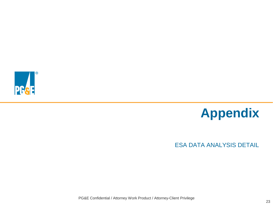



## ESA DATA ANALYSIS DETAIL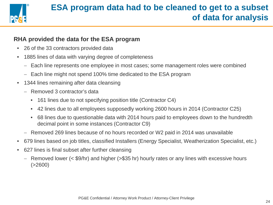

## **RHA provided the data for the ESA program**

- 26 of the 33 contractors provided data
- 1885 lines of data with varying degree of completeness
	- − Each line represents one employee in most cases; some management roles were combined
	- − Each line might not spend 100% time dedicated to the ESA program
- 1344 lines remaining after data cleansing
	- − Removed 3 contractor's data
		- 161 lines due to not specifying position title (Contractor C4)
		- 42 lines due to all employees supposedly working 2600 hours in 2014 (Contractor C25)
		- 68 lines due to questionable data with 2014 hours paid to employees down to the hundredth decimal point in some instances (Contractor C9)
	- − Removed 269 lines because of no hours recorded or W2 paid in 2014 was unavailable
- 679 lines based on job titles, classified Installers (Energy Specialist, Weatherization Specialist, etc.)
- 627 lines is final subset after further cleansing
	- − Removed lower (< \$9/hr) and higher (>\$35 hr) hourly rates or any lines with excessive hours  $( > 2600)$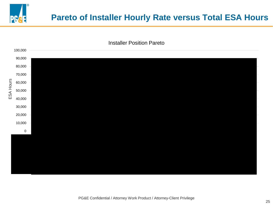

## **Pareto of Installer Hourly Rate versus Total ESA Hours**

Installer Position Pareto

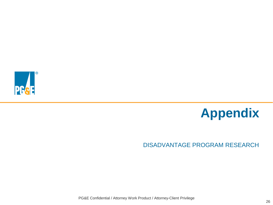



### DISADVANTAGE PROGRAM RESEARCH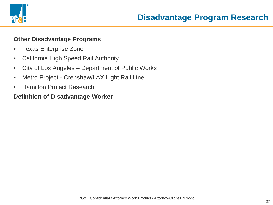

## **Other Disadvantage Programs**

- Texas Enterprise Zone
- California High Speed Rail Authority
- City of Los Angeles Department of Public Works
- Metro Project Crenshaw/LAX Light Rail Line
- Hamilton Project Research

## **Definition of Disadvantage Worker**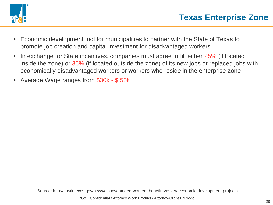

- Economic development tool for municipalities to partner with the State of Texas to promote job creation and capital investment for disadvantaged workers
- In exchange for State incentives, companies must agree to fill either 25% (if located inside the zone) or 35% (if located outside the zone) of its new jobs or replaced jobs with economically-disadvantaged workers or workers who reside in the enterprise zone
- Average Wage ranges from \$30k \$ 50k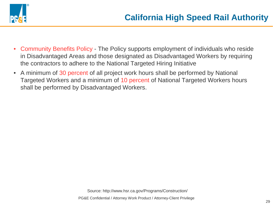

- Community Benefits Policy The Policy supports employment of individuals who reside in Disadvantaged Areas and those designated as Disadvantaged Workers by requiring the contractors to adhere to the National Targeted Hiring Initiative
- A minimum of 30 percent of all project work hours shall be performed by National Targeted Workers and a minimum of 10 percent of National Targeted Workers hours shall be performed by Disadvantaged Workers.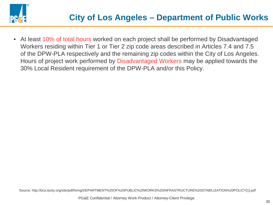

• At least 10% of total hours worked on each project shall be performed by Disadvantaged Workers residing within Tier 1 or Tier 2 zip code areas described in Articles 7.4 and 7.5 of the DPW-PLA respectively and the remaining zip codes within the City of Los Angeles. Hours of project work performed by Disadvantaged Workers may be applied towards the 30% Local Resident requirement of the DPW-PLA and/or this Policy.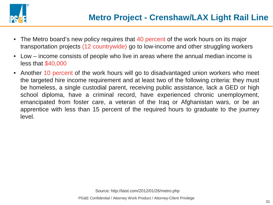

- The Metro board's new policy requires that 40 percent of the work hours on its major transportation projects (12 countrywide) go to low-income and other struggling workers
- Low income consists of people who live in areas where the annual median income is less that \$40,000
- Another 10 percent of the work hours will go to disadvantaged union workers who meet the targeted hire income requirement and at least two of the following criteria: they must be homeless, a single custodial parent, receiving public assistance, lack a GED or high school diploma, have a criminal record, have experienced chronic unemployment, emancipated from foster care, a veteran of the Iraq or Afghanistan wars, or be an apprentice with less than 15 percent of the required hours to graduate to the journey level.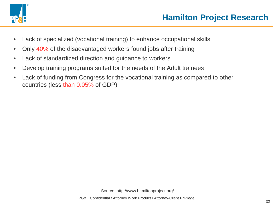

- Lack of specialized (vocational training) to enhance occupational skills
- Only 40% of the disadvantaged workers found jobs after training
- Lack of standardized direction and guidance to workers
- Develop training programs suited for the needs of the Adult trainees
- Lack of funding from Congress for the vocational training as compared to other countries (less than 0.05% of GDP)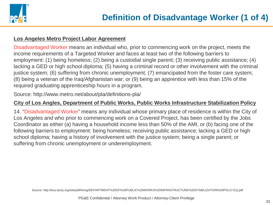

### **Los Angeles Metro Project Labor Agreement**

Disadvantaged Worker means an individual who, prior to commencing work on the project, meets the income requirements of a Targeted Worker and faces at least two of the following barriers to employment: (1) being homeless; (2) being a custodial single parent; (3) receiving public assistance; (4) lacking a GED or high school diploma; (5) having a criminal record or other involvement with the criminal justice system; (6) suffering from chronic unemployment; (7) emancipated from the foster care system; (8) being a veteran of the Iraq/Afghanistan war; or (9) being an apprentice with less than 15% of the required graduating apprenticeship hours in a program.

Source: http://www.metro.net/about/pla/definitions-pla/

### **City of Los Angles, Department of Public Works, Public Works Infrastructure Stabilization Policy**

14. "Disadvantaged Worker" means any individual whose primary place of residence is within the City of Los Angeles and who prior to commencing work on a Covered Project, has been certified by the Jobs Coordinator as either (a) having a household income less than 50% of the AMI, or (b) facing one of the following barriers to employment: being homeless; receiving public assistance; lacking a GED or high school diploma; having a history of involvement with the justice system; being a single parent; or suffering from chronic unemployment or underemployment.

Source: http://bca.lacity.org/site/pdf/hiring/DEPARTMENT%20OF%20PUBLIC%20WORKS%20INFRASTRUCTURE%20STABILIZATION%20POLICY[1].pdf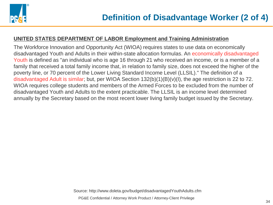

### **UNITED STATES DEPARTMENT OF LABOR Employment and Training Administration**

The Workforce Innovation and Opportunity Act (WIOA) requires states to use data on economically disadvantaged Youth and Adults in their within-state allocation formulas. An economically disadvantaged Youth is defined as "an individual who is age 16 through 21 who received an income, or is a member of a family that received a total family income that, in relation to family size, does not exceed the higher of the poverty line, or 70 percent of the Lower Living Standard Income Level (LLSIL)." The definition of a disadvantaged Adult is similar; but, per WIOA Section 132(b)(1)(B)(v)(I), the age restriction is 22 to 72. WIOA requires college students and members of the Armed Forces to be excluded from the number of disadvantaged Youth and Adults to the extent practicable. The LLSIL is an income level determined annually by the Secretary based on the most recent lower living family budget issued by the Secretary.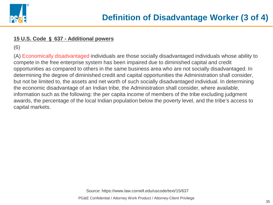

### **15 U.S. Code** § **637 - Additional powers**

(6)

(A) Economically disadvantaged individuals are those socially disadvantaged individuals whose ability to compete in the free enterprise system has been impaired due to diminished capital and credit opportunities as compared to others in the same business area who are not socially disadvantaged. In determining the degree of diminished credit and capital opportunities the Administration shall consider, but not be limited to, the assets and net worth of such socially disadvantaged individual. In determining the economic disadvantage of an Indian tribe, the Administration shall consider, where available, information such as the following: the per capita income of members of the tribe excluding judgment awards, the percentage of the local Indian population below the poverty level, and the tribe's access to capital markets.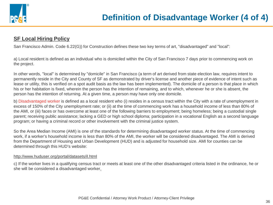

### **SF Local Hiring Policy**

San Francisco Admin. Code 6.22(G)) for Construction defines these two key terms of art, "disadvantaged" and "local":

a) Local resident is defined as an individual who is domiciled within the City of San Francisco 7 days prior to commencing work on the project.

In other words, "local" is determined by "domicile" in San Francisco (a term of art derived from state election law, requires intent to permanently reside in the City and County of SF as demonstrated by driver's license and another piece of evidence of intent such as lease or utility, this is verified on a spot audit basis as the law has been implemented). The domicile of a person is that place in which his or her habitation is fixed, wherein the person has the intention of remaining, and to which, whenever he or she is absent, the person has the intention of returning. At a given time, a person may have only one domicile.

b) Disadvantaged worker is defined as a local resident who (i) resides in a census tract within the City with a rate of unemployment in excess of 150% of the City unemployment rate; or (ii) at the time of commencing work has a household income of less than 80% of the AMI, or (iii) faces or has overcome at least one of the following barriers to employment; being homeless; being a custodial single parent; receiving public assistance; lacking a GED or high school diploma; participation in a vocational English as a second language program; or having a criminal record or other involvement with the criminal justice system.

So the Area Median Income (AMI) is one of the standards for determining disadvantaged worker status. At the time of commencing work, if a worker's household income is less than 80% of the AMI, the worker will be considered disadvantaged. The AMI is derived from the Department of Housing and Urban Development (HUD) and is adjusted for household size. AMI for counties can be determined through this HUD's website:

### http://www.huduser.org/portal/datasets/il.html

c) If the worker lives in a qualifying census tract or meets at least one of the other disadvantaged criteria listed in the ordinance, he or she will be considered a disadvantaged worker.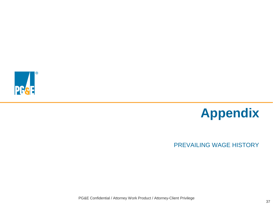



## PREVAILING WAGE HISTORY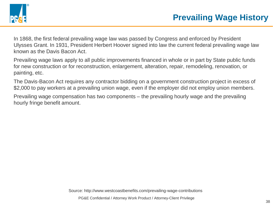

In 1868, the first federal prevailing wage law was passed by Congress and enforced by President Ulysses Grant. In 1931, President Herbert Hoover signed into law the current federal prevailing wage law known as the Davis Bacon Act.

Prevailing wage laws apply to all public improvements financed in whole or in part by State public funds for new construction or for reconstruction, enlargement, alteration, repair, remodeling, renovation, or painting, etc.

The Davis-Bacon Act requires any contractor bidding on a government construction project in excess of \$2,000 to pay workers at a prevailing union wage, even if the employer did not employ union members.

Prevailing wage compensation has two components – the prevailing hourly wage and the prevailing hourly fringe benefit amount.